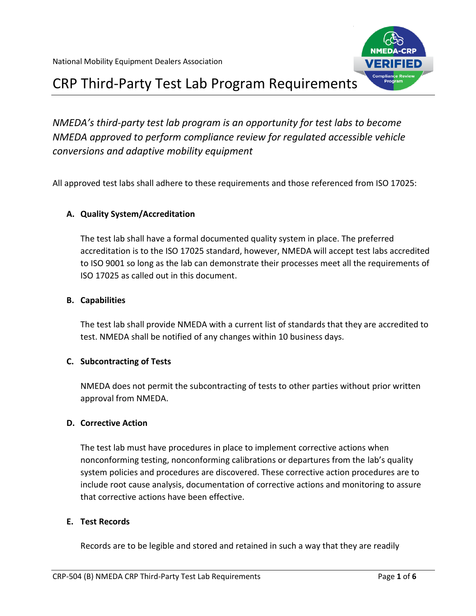

# CRP Third-Party Test Lab Program Requirements

*NMEDA's third-party test lab program is an opportunity for test labs to become NMEDA approved to perform compliance review for regulated accessible vehicle conversions and adaptive mobility equipment*

All approved test labs shall adhere to these requirements and those referenced from ISO 17025:

# **A. Quality System/Accreditation**

The test lab shall have a formal documented quality system in place. The preferred accreditation is to the ISO 17025 standard, however, NMEDA will accept test labs accredited to ISO 9001 so long as the lab can demonstrate their processes meet all the requirements of ISO 17025 as called out in this document.

## **B. Capabilities**

The test lab shall provide NMEDA with a current list of standards that they are accredited to test. NMEDA shall be notified of any changes within 10 business days.

# **C. Subcontracting of Tests**

NMEDA does not permit the subcontracting of tests to other parties without prior written approval from NMEDA.

### **D. Corrective Action**

The test lab must have procedures in place to implement corrective actions when nonconforming testing, nonconforming calibrations or departures from the lab's quality system policies and procedures are discovered. These corrective action procedures are to include root cause analysis, documentation of corrective actions and monitoring to assure that corrective actions have been effective.

# **E. Test Records**

Records are to be legible and stored and retained in such a way that they are readily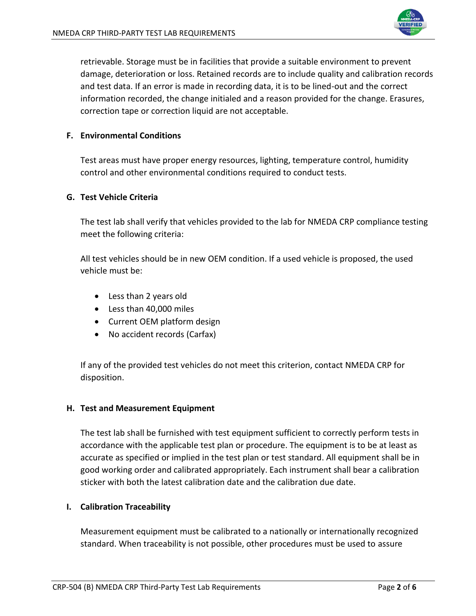

retrievable. Storage must be in facilities that provide a suitable environment to prevent damage, deterioration or loss. Retained records are to include quality and calibration records and test data. If an error is made in recording data, it is to be lined-out and the correct information recorded, the change initialed and a reason provided for the change. Erasures, correction tape or correction liquid are not acceptable.

### **F. Environmental Conditions**

Test areas must have proper energy resources, lighting, temperature control, humidity control and other environmental conditions required to conduct tests.

#### **G. Test Vehicle Criteria**

The test lab shall verify that vehicles provided to the lab for NMEDA CRP compliance testing meet the following criteria:

All test vehicles should be in new OEM condition. If a used vehicle is proposed, the used vehicle must be:

- Less than 2 years old
- Less than 40,000 miles
- Current OEM platform design
- No accident records (Carfax)

If any of the provided test vehicles do not meet this criterion, contact NMEDA CRP for disposition.

#### **H. Test and Measurement Equipment**

The test lab shall be furnished with test equipment sufficient to correctly perform tests in accordance with the applicable test plan or procedure. The equipment is to be at least as accurate as specified or implied in the test plan or test standard. All equipment shall be in good working order and calibrated appropriately. Each instrument shall bear a calibration sticker with both the latest calibration date and the calibration due date.

#### **I. Calibration Traceability**

Measurement equipment must be calibrated to a nationally or internationally recognized standard. When traceability is not possible, other procedures must be used to assure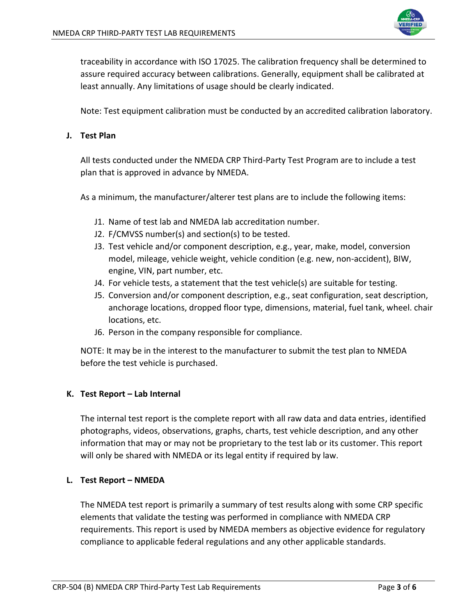

traceability in accordance with ISO 17025. The calibration frequency shall be determined to assure required accuracy between calibrations. Generally, equipment shall be calibrated at least annually. Any limitations of usage should be clearly indicated.

Note: Test equipment calibration must be conducted by an accredited calibration laboratory.

### **J. Test Plan**

All tests conducted under the NMEDA CRP Third-Party Test Program are to include a test plan that is approved in advance by NMEDA.

As a minimum, the manufacturer/alterer test plans are to include the following items:

- J1. Name of test lab and NMEDA lab accreditation number.
- J2. F/CMVSS number(s) and section(s) to be tested.
- J3. Test vehicle and/or component description, e.g., year, make, model, conversion model, mileage, vehicle weight, vehicle condition (e.g. new, non-accident), BIW, engine, VIN, part number, etc.
- J4. For vehicle tests, a statement that the test vehicle(s) are suitable for testing.
- J5. Conversion and/or component description, e.g., seat configuration, seat description, anchorage locations, dropped floor type, dimensions, material, fuel tank, wheel. chair locations, etc.
- J6. Person in the company responsible for compliance.

NOTE: It may be in the interest to the manufacturer to submit the test plan to NMEDA before the test vehicle is purchased.

### **K. Test Report – Lab Internal**

The internal test report is the complete report with all raw data and data entries, identified photographs, videos, observations, graphs, charts, test vehicle description, and any other information that may or may not be proprietary to the test lab or its customer. This report will only be shared with NMEDA or its legal entity if required by law.

### **L. Test Report – NMEDA**

The NMEDA test report is primarily a summary of test results along with some CRP specific elements that validate the testing was performed in compliance with NMEDA CRP requirements. This report is used by NMEDA members as objective evidence for regulatory compliance to applicable federal regulations and any other applicable standards.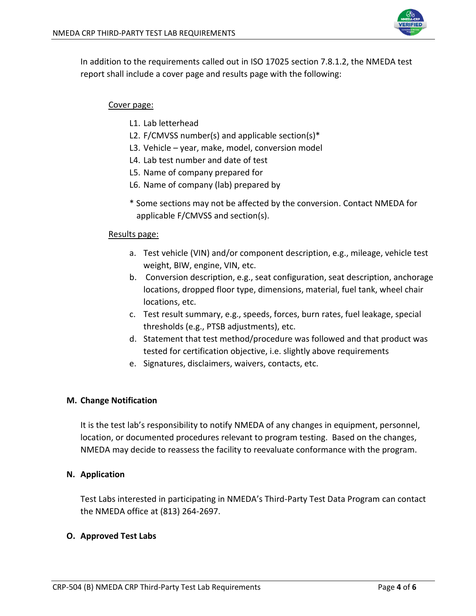

In addition to the requirements called out in ISO 17025 section 7.8.1.2, the NMEDA test report shall include a cover page and results page with the following:

## Cover page:

- L1. Lab letterhead
- L2. F/CMVSS number(s) and applicable section(s)\*
- L3. Vehicle year, make, model, conversion model
- L4. Lab test number and date of test
- L5. Name of company prepared for
- L6. Name of company (lab) prepared by
- \* Some sections may not be affected by the conversion. Contact NMEDA for applicable F/CMVSS and section(s).

#### Results page:

- a. Test vehicle (VIN) and/or component description, e.g., mileage, vehicle test weight, BIW, engine, VIN, etc.
- b. Conversion description, e.g., seat configuration, seat description, anchorage locations, dropped floor type, dimensions, material, fuel tank, wheel chair locations, etc.
- c. Test result summary, e.g., speeds, forces, burn rates, fuel leakage, special thresholds (e.g., PTSB adjustments), etc.
- d. Statement that test method/procedure was followed and that product was tested for certification objective, i.e. slightly above requirements
- e. Signatures, disclaimers, waivers, contacts, etc.

### **M. Change Notification**

It is the test lab's responsibility to notify NMEDA of any changes in equipment, personnel, location, or documented procedures relevant to program testing. Based on the changes, NMEDA may decide to reassess the facility to reevaluate conformance with the program.

### **N. Application**

Test Labs interested in participating in NMEDA's Third-Party Test Data Program can contact the NMEDA office at (813) 264-2697.

### **O. Approved Test Labs**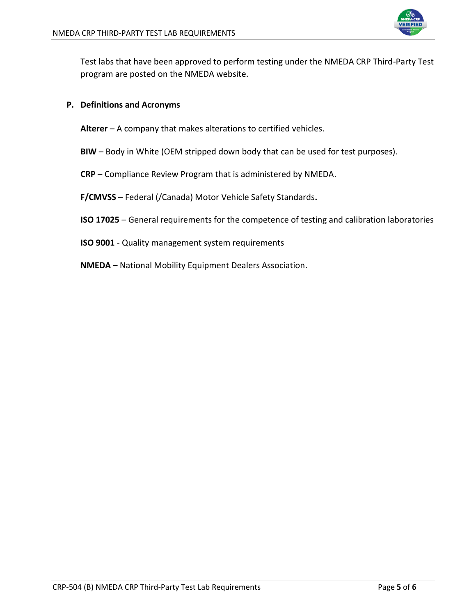

Test labs that have been approved to perform testing under the NMEDA CRP Third-Party Test program are posted on the NMEDA website.

## **P. Definitions and Acronyms**

**Alterer** – A company that makes alterations to certified vehicles.

- **BIW**  Body in White (OEM stripped down body that can be used for test purposes).
- **CRP** Compliance Review Program that is administered by NMEDA.

**F/CMVSS** – Federal (/Canada) Motor Vehicle Safety Standards**.**

- **ISO 17025**  General requirements for the competence of testing and calibration laboratories
- **ISO 9001**  Quality management system requirements
- **NMEDA** National Mobility Equipment Dealers Association.